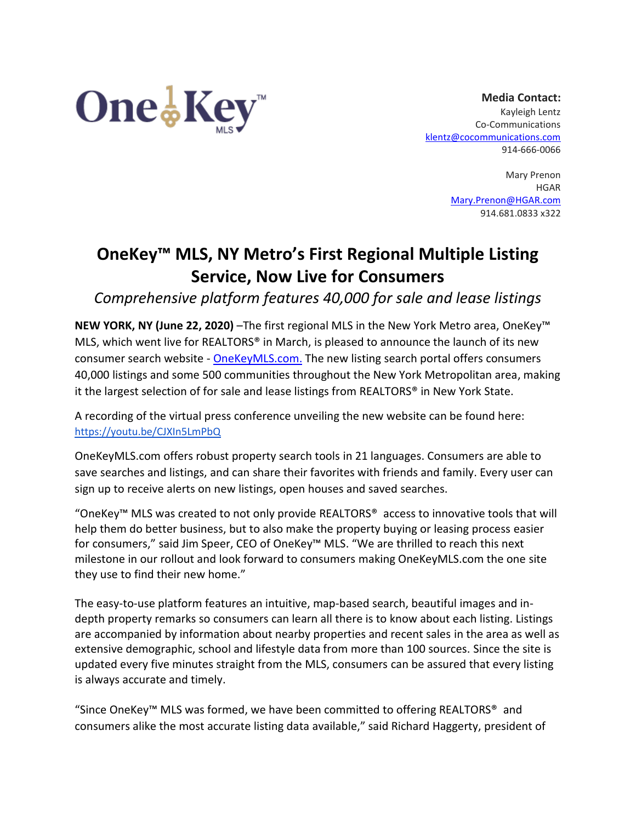

**Media Contact:** Kayleigh Lentz Co-Communications [klentz@cocommunications.com](mailto:klentz@cocommunications.com) 914-666-0066

> Mary Prenon HGAR [Mary.Prenon@HGAR.com](mailto:Mary.Prenon@HGAR.com) 914.681.0833 x322

## **OneKey™ MLS, NY Metro's First Regional Multiple Listing Service, Now Live for Consumers**

*Comprehensive platform features 40,000 for sale and lease listings* 

**NEW YORK, NY (June 22, 2020)** –The first regional MLS in the New York Metro area, OneKey™ MLS, which went live for REALTORS® in March, is pleased to announce the launch of its new consumer search website - [OneKeyMLS.com.](http://www.onekeymls.com/) The new listing search portal offers consumers 40,000 listings and some 500 communities throughout the New York Metropolitan area, making it the largest selection of for sale and lease listings from REALTORS® in New York State.

A recording of the virtual press conference unveiling the new website can be found here: <https://youtu.be/CJXIn5LmPbQ>

OneKeyMLS.com offers robust property search tools in 21 languages. Consumers are able to save searches and listings, and can share their favorites with friends and family. Every user can sign up to receive alerts on new listings, open houses and saved searches.

"OneKey™ MLS was created to not only provide REALTORS® access to innovative tools that will help them do better business, but to also make the property buying or leasing process easier for consumers," said Jim Speer, CEO of OneKey™ MLS. "We are thrilled to reach this next milestone in our rollout and look forward to consumers making OneKeyMLS.com the one site they use to find their new home."

The easy-to-use platform features an intuitive, map-based search, beautiful images and indepth property remarks so consumers can learn all there is to know about each listing. Listings are accompanied by information about nearby properties and recent sales in the area as well as extensive demographic, school and lifestyle data from more than 100 sources. Since the site is updated every five minutes straight from the MLS, consumers can be assured that every listing is always accurate and timely.

"Since OneKey™ MLS was formed, we have been committed to offering REALTORS® and consumers alike the most accurate listing data available," said Richard Haggerty, president of